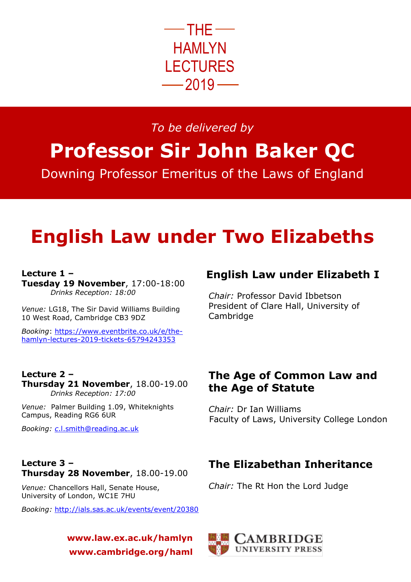

# *To be delivered by*

**Professor Sir John Baker QC** Downing Professor Emeritus of the Laws of England

# **English Law under Two Elizabeths**

### **Lecture 1 –**

**Lecture 2 –**

**Tuesday 19 November**, 17:00-18:00  *Drinks Reception: 18:00*

*Venue:* LG18, The Sir David Williams Building 10 West Road, Cambridge CB3 9DZ

*Booking*: [https://www.eventbrite.co.uk/e/the](https://www.eventbrite.co.uk/e/the-hamlyn-lectures-2019-tickets-65794243353)[hamlyn-lectures-2019-tickets-65794243353](https://www.eventbrite.co.uk/e/the-hamlyn-lectures-2019-tickets-65794243353)

**Thursday 21 November**, 18.00-19.00

### **English Law under Elizabeth I**

*Chair:* Professor David Ibbetson President of Clare Hall, University of **Cambridge** 

## **The Age of Common Law and the Age of Statute**

*Chair:* Dr Ian Williams Faculty of Laws, University College London

# *Booking: c*[.l.smith@reading.ac.uk](mailto:c.l.smith@reading.ac.uk)

Campus, Reading RG6 6UR

 *Drinks Reception: 17:00*

*Venue:* Palmer Building 1.09, Whiteknights

#### **Lecture 3 – Thursday 28 November**, 18.00-19.00

*Venue:* Chancellors Hall, Senate House, University of London, WC1E 7HU

*Booking:* <http://ials.sas.ac.uk/events/event/20380>

**www.law.ex.ac.uk/hamlyn www.cambridge.org/haml**

# **The Elizabethan Inheritance**

*Chair:* The Rt Hon the Lord Judge